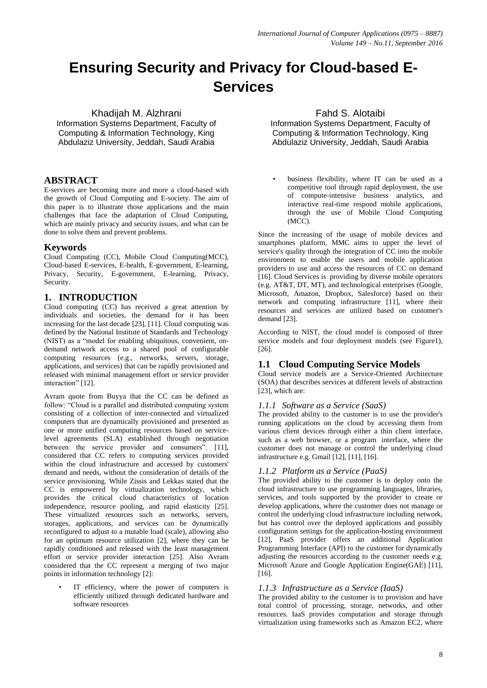# **Ensuring Security and Privacy for Cloud-based E-Services**

Khadijah M. Alzhrani

Information Systems Department, Faculty of Computing & Information Technology, King Abdulaziz University, Jeddah, Saudi Arabia

# **ABSTRACT**

E-services are becoming more and more a cloud-based with the growth of Cloud Computing and E-society. The aim of this paper is to illustrate those applications and the main challenges that face the adaptation of Cloud Computing, which are mainly privacy and security issues, and what can be done to solve them and prevent problems.

## **Keywords**

Cloud Computing (CC), Mobile Cloud Computing(MCC), Cloud-based E-services, E-health, E-government, E-learning, Privacy, Security, E-government, E-learning, Privacy, Security.

## **1. INTRODUCTION**

Cloud computing (CC) has received a great attention by individuals and societies, the demand for it has been increasing for the last decade [23], [11]. Cloud computing was defined by the National Institute of Standards and Technology (NIST) as a "model for enabling ubiquitous, convenient, ondemand network access to a shared pool of configurable computing resources (e.g., networks, servers, storage, applications, and services) that can be rapidly provisioned and released with minimal management effort or service provider interaction" [12].

Avram quote from Buyya that the CC can be defined as follow: "Cloud is a parallel and distributed computing system consisting of a collection of inter-connected and virtualized computers that are dynamically provisioned and presented as one or more unified computing resources based on servicelevel agreements (SLA) established through negotiation between the service provider and consumers". [11], considered that CC refers to computing services provided within the cloud infrastructure and accessed by customers' demand and needs, without the consideration of details of the service provisioning. While Zissis and Lekkas stated that the CC is empowered by virtualization technology, which provides the critical cloud characteristics of location independence, resource pooling, and rapid elasticity [25]. These virtualized resources such as networks, servers, storages, applications, and services can be dynamically reconfigured to adjust to a mutable load (scale), allowing also for an optimum resource utilization [2], where they can be rapidly conditioned and released with the least management effort or service provider interaction [25]. Also Avram considered that the CC represent a merging of two major points in information technology [2]:

IT efficiency, where the power of computers is efficiently utilized through dedicated hardware and software resources

## Fahd S. Alotaibi

Information Systems Department, Faculty of Computing & Information Technology, King Abdulaziz University, Jeddah, Saudi Arabia

business flexibility, where IT can be used as a competitive tool through rapid deployment, the use of compute-intensive business analytics, and interactive real-time respond mobile applications, through the use of Mobile Cloud Computing (MCC).

Since the increasing of the usage of mobile devices and smartphones platform, MMC aims to upper the level of service's quality through the integration of CC into the mobile environment to enable the users and mobile application providers to use and access the resources of CC on demand [16]. Cloud Services is providing by diverse mobile operators (e.g. AT&T, DT, MT), and technological enterprises (Google, Microsoft, Amazon, Dropbox, Salesforce) based on their network and computing infrastructure [11], where their resources and services are utilized based on customer's demand [23].

According to NIST, the cloud model is composed of three service models and four deployment models (see Figure1), [26].

# **1.1 Cloud Computing Service Models**

Cloud service models are a Service-Oriented Architecture (SOA) that describes services at different levels of abstraction [23], which are:

#### *1.1.1 Software as a Service (SaaS)*

The provided ability to the customer is to use the provider's running applications on the cloud by accessing them from various client devices through either a thin client interface, such as a web browser, or a program interface, where the customer does not manage or control the underlying cloud infrastructure e.g. Gmail [12], [11], [16].

## *1.1.2 Platform as a Service (PaaS)*

The provided ability to the customer is to deploy onto the cloud infrastructure to use programming languages, libraries, services, and tools supported by the provider to create or develop applications, where the customer does not manage or control the underlying cloud infrastructure including network, but has control over the deployed applications and possibly configuration settings for the application-hosting environment [12], PaaS provider offers an additional Application Programming Interface (API) to the customer for dynamically adjusting the resources according to the customer needs e.g. Microsoft Azure and Google Application Engine(GAE) [11], [16].

#### *1.1.3 Infrastructure as a Service (IaaS)*

The provided ability to the customer is to provision and have total control of processing, storage, networks, and other resources. IaaS provides computation and storage through virtualization using frameworks such as Amazon EC2, where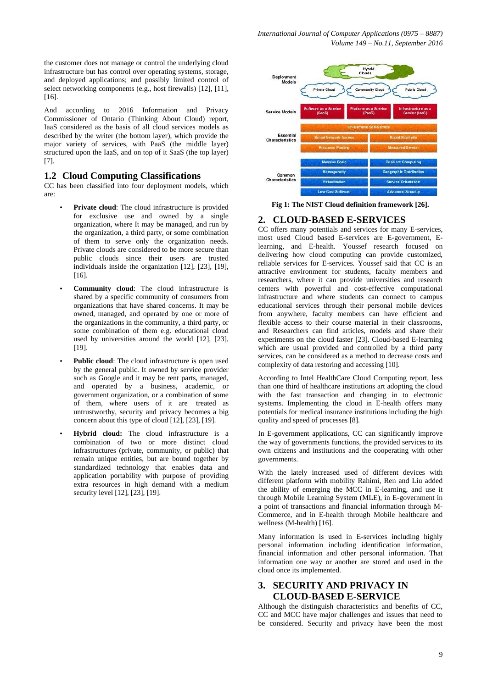the customer does not manage or control the underlying cloud infrastructure but has control over operating systems, storage, and deployed applications; and possibly limited control of select networking components (e.g., host firewalls) [12], [11], [16].

And according to 2016 Information and Privacy Commissioner of Ontario (Thinking About Cloud) report, IaaS considered as the basis of all cloud services models as described by the writer (the bottom layer), which provide the major variety of services, with PaaS (the middle layer) structured upon the IaaS, and on top of it SaaS (the top layer) [7].

#### **1.2 Cloud Computing Classifications**

CC has been classified into four deployment models, which are:

- Private cloud: The cloud infrastructure is provided for exclusive use and owned by a single organization, where It may be managed, and run by the organization, a third party, or some combination of them to serve only the organization needs. Private clouds are considered to be more secure than public clouds since their users are trusted individuals inside the organization [12], [23], [19], [16].
- **Community cloud**: The cloud infrastructure is shared by a specific community of consumers from organizations that have shared concerns. It may be owned, managed, and operated by one or more of the organizations in the community, a third party, or some combination of them e.g. educational cloud used by universities around the world [12], [23], [19].
- **Public cloud**: The cloud infrastructure is open used by the general public. It owned by service provider such as Google and it may be rent parts, managed, and operated by a business, academic, or government organization, or a combination of some of them, where users of it are treated as untrustworthy, security and privacy becomes a big concern about this type of cloud [12], [23], [19].
- **Hybrid cloud:** The cloud infrastructure is a combination of two or more distinct cloud infrastructures (private, community, or public) that remain unique entities, but are bound together by standardized technology that enables data and application portability with purpose of providing extra resources in high demand with a medium security level [12], [23], [19].



**Fig 1: The NIST Cloud definition framework [26].**

#### **2. CLOUD-BASED E-SERVICES**

CC offers many potentials and services for many E-services, most used Cloud based E-services are E-government, Elearning, and E-health. Youssef research focused on delivering how cloud computing can provide customized, reliable services for E-services. Youssef said that CC is an attractive environment for students, faculty members and researchers, where it can provide universities and research centers with powerful and cost-effective computational infrastructure and where students can connect to campus educational services through their personal mobile devices from anywhere, faculty members can have efficient and flexible access to their course material in their classrooms, and Researchers can find articles, models and share their experiments on the cloud faster [23]. Cloud-based E-learning which are usual provided and controlled by a third party services, can be considered as a method to decrease costs and complexity of data restoring and accessing [10].

According to Intel HealthCare Cloud Computing report, less than one third of healthcare institutions art adopting the cloud with the fast transaction and changing in to electronic systems. Implementing the cloud in E-health offers many potentials for medical insurance institutions including the high quality and speed of processes [8].

In E-government applications, CC can significantly improve the way of governments functions, the provided services to its own citizens and institutions and the cooperating with other governments.

With the lately increased used of different devices with different platform with mobility Rahimi, Ren and Liu added the ability of emerging the MCC in E-learning, and use it through Mobile Learning System (MLE), in E-government in a point of transactions and financial information through M-Commerce, and in E-health through Mobile healthcare and wellness (M-health) [16].

Many information is used in E-services including highly personal information including identification information, financial information and other personal information. That information one way or another are stored and used in the cloud once its implemented.

# **3. SECURITY AND PRIVACY IN CLOUD-BASED E-SERVICE**

Although the distinguish characteristics and benefits of CC, CC and MCC have major challenges and issues that need to be considered. Security and privacy have been the most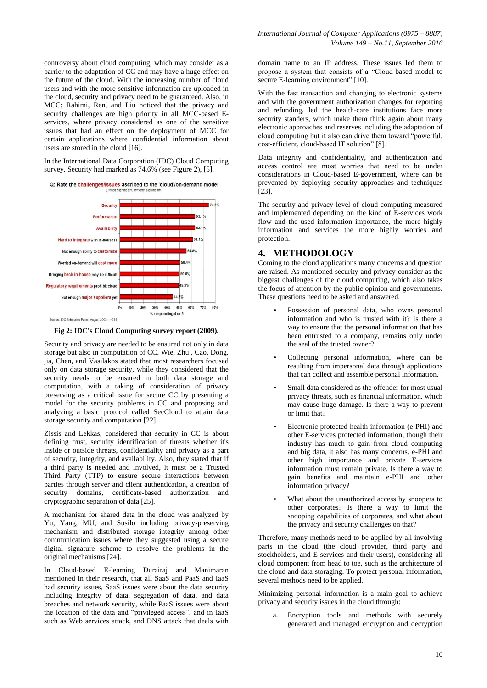controversy about cloud computing, which may consider as a barrier to the adaptation of CC and may have a huge effect on the future of the cloud. With the increasing number of cloud users and with the more sensitive information are uploaded in the cloud, security and privacy need to be guaranteed. Also, in MCC; Rahimi, Ren, and Liu noticed that the privacy and security challenges are high priority in all MCC-based Eservices, where privacy considered as one of the sensitive issues that had an effect on the deployment of MCC for certain applications where confidential information about users are stored in the cloud [16].

In the International Data Corporation (IDC) Cloud Computing survey, Security had marked as 74.6% (see Figure 2), [5].

Q: Rate the challenges/issues ascribed to the 'cloud'/on-demand model



**Fig 2: IDC's Cloud Computing survey report (2009).**

Security and privacy are needed to be ensured not only in data storage but also in computation of CC. Wie, Zhu , Cao, Dong, jia, Chen, and Vasilakos stated that most researchers focused only on data storage security, while they considered that the security needs to be ensured in both data storage and computation, with a taking of consideration of privacy preserving as a critical issue for secure CC by presenting a model for the security problems in CC and proposing and analyzing a basic protocol called SecCloud to attain data storage security and computation [22].

Zissis and Lekkas, considered that security in CC is about defining trust, security identification of threats whether it's inside or outside threats, confidentiality and privacy as a part of security, integrity, and availability. Also, they stated that if a third party is needed and involved, it must be a Trusted Third Party (TTP) to ensure secure interactions between parties through server and client authentication, a creation of security domains, certificate-based authorization and cryptographic separation of data [25].

A mechanism for shared data in the cloud was analyzed by Yu, Yang, MU, and Susilo including privacy-preserving mechanism and distributed storage integrity among other communication issues where they suggested using a secure digital signature scheme to resolve the problems in the original mechanisms [24].

In Cloud-based E-learning Durairaj and Manimaran mentioned in their research, that all SaaS and PaaS and IaaS had security issues, SaaS issues were about the data security including integrity of data, segregation of data, and data breaches and network security, while PaaS issues were about the location of the data and "privileged access", and in IaaS such as Web services attack, and DNS attack that deals with

domain name to an IP address. These issues led them to propose a system that consists of a "Cloud-based model to secure E-learning environment" [10].

With the fast transaction and changing to electronic systems and with the government authorization changes for reporting and refunding, led the health-care institutions face more security standers, which make them think again about many electronic approaches and reserves including the adaptation of cloud computing but it also can drive them toward "powerful, cost-efficient, cloud-based IT solution" [8].

Data integrity and confidentiality, and authentication and access control are most worries that need to be under considerations in Cloud-based E-government, where can be prevented by deploying security approaches and techniques [23].

The security and privacy level of cloud computing measured and implemented depending on the kind of E-services work flow and the used information importance, the more highly information and services the more highly worries and protection.

## **4. METHODOLOGY**

Coming to the cloud applications many concerns and question are raised. As mentioned security and privacy consider as the biggest challenges of the cloud computing, which also takes the focus of attention by the public opinion and governments. These questions need to be asked and answered.

- Possession of personal data, who owns personal information and who is trusted with it? Is there a way to ensure that the personal information that has been entrusted to a company, remains only under the seal of the trusted owner?
- Collecting personal information, where can be resulting from impersonal data through applications that can collect and assemble personal information.
- Small data considered as the offender for most usual privacy threats, such as financial information, which may cause huge damage. Is there a way to prevent or limit that?
- Electronic protected health information (e-PHI) and other E-services protected information, though their industry has much to gain from cloud computing and big data, it also has many concerns. e-PHI and other high importance and private E-services information must remain private. Is there a way to gain benefits and maintain e-PHI and other information privacy?
- What about the unauthorized access by snoopers to other corporates? Is there a way to limit the snooping capabilities of corporates, and what about the privacy and security challenges on that?

Therefore, many methods need to be applied by all involving parts in the cloud (the cloud provider, third party and stockholders, and E-services and their users), considering all cloud component from head to toe, such as the architecture of the cloud and data storaging. To protect personal information, several methods need to be applied.

Minimizing personal information is a main goal to achieve privacy and security issues in the cloud through:

a. Encryption tools and methods with securely generated and managed encryption and decryption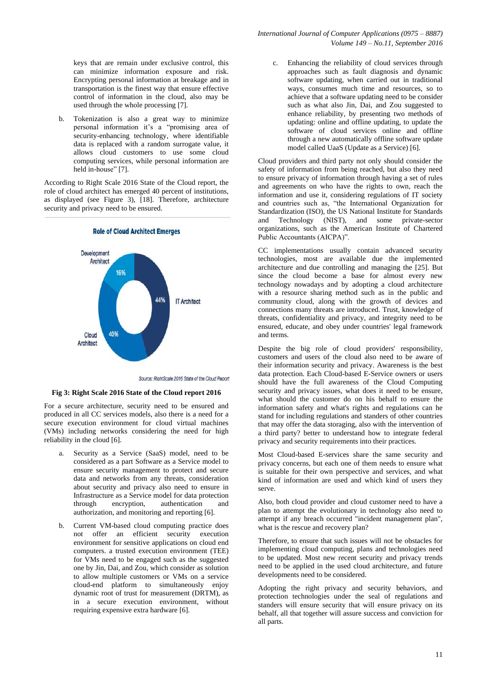keys that are remain under exclusive control, this can minimize information exposure and risk. Encrypting personal information at breakage and in transportation is the finest way that ensure effective control of information in the cloud, also may be used through the whole processing [7].

b. Tokenization is also a great way to minimize personal information it's a "promising area of security-enhancing technology, where identifiable data is replaced with a random surrogate value, it allows cloud customers to use some cloud computing services, while personal information are held in-house" [7].

According to Right Scale 2016 State of the Cloud report, the role of cloud architect has emerged 40 percent of institutions, as displayed (see Figure 3), [18]. Therefore, architecture security and privacy need to be ensured.



**Role of Cloud Architect Emerges** 

**Fig 3: Right Scale 2016 State of the Cloud report 2016**

For a secure architecture, security need to be ensured and produced in all CC services models, also there is a need for a secure execution environment for cloud virtual machines (VMs) including networks considering the need for high reliability in the cloud [6].

- a. Security as a Service (SaaS) model, need to be considered as a part Software as a Service model to ensure security management to protect and secure data and networks from any threats, consideration about security and privacy also need to ensure in Infrastructure as a Service model for data protection through encryption, authentication and authorization, and monitoring and reporting [6].
- b. Current VM-based cloud computing practice does not offer an efficient security execution environment for sensitive applications on cloud end computers. a trusted execution environment (TEE) for VMs need to be engaged such as the suggested one by Jin, Dai, and Zou, which consider as solution to allow multiple customers or VMs on a service cloud-end platform to simultaneously enjoy dynamic root of trust for measurement (DRTM), as in a secure execution environment, without requiring expensive extra hardware [6].

c. Enhancing the reliability of cloud services through approaches such as fault diagnosis and dynamic software updating, when carried out in traditional ways, consumes much time and resources, so to achieve that a software updating need to be consider such as what also Jin, Dai, and Zou suggested to enhance reliability, by presenting two methods of updating: online and offline updating, to update the software of cloud services online and offline through a new automatically offline software update model called UaaS (Update as a Service) [6].

Cloud providers and third party not only should consider the safety of information from being reached, but also they need to ensure privacy of information through having a set of rules and agreements on who have the rights to own, reach the information and use it, considering regulations of IT society and countries such as, "the International Organization for Standardization (ISO), the US National Institute for Standards and Technology (NIST), and some private-sector organizations, such as the American Institute of Chartered Public Accountants (AICPA)".

CC implementations usually contain advanced security technologies, most are available due the implemented architecture and due controlling and managing the [25]. But since the cloud become a base for almost every new technology nowadays and by adopting a cloud architecture with a resource sharing method such as in the public and community cloud, along with the growth of devices and connections many threats are introduced. Trust, knowledge of threats, confidentiality and privacy, and integrity need to be ensured, educate, and obey under countries' legal framework and terms.

Despite the big role of cloud providers' responsibility, customers and users of the cloud also need to be aware of their information security and privacy. Awareness is the best data protection. Each Cloud-based E-Service owners or users should have the full awareness of the Cloud Computing security and privacy issues, what does it need to be ensure, what should the customer do on his behalf to ensure the information safety and what's rights and regulations can he stand for including regulations and standers of other countries that may offer the data storaging, also with the intervention of a third party? better to understand how to integrate federal privacy and security requirements into their practices.

Most Cloud-based E-services share the same security and privacy concerns, but each one of them needs to ensure what is suitable for their own perspective and services, and what kind of information are used and which kind of users they serve.

Also, both cloud provider and cloud customer need to have a plan to attempt the evolutionary in technology also need to attempt if any breach occurred "incident management plan", what is the rescue and recovery plan?

Therefore, to ensure that such issues will not be obstacles for implementing cloud computing, plans and technologies need to be updated. Most new recent security and privacy trends need to be applied in the used cloud architecture, and future developments need to be considered.

Adopting the right privacy and security behaviors, and protection technologies under the seal of regulations and standers will ensure security that will ensure privacy on its behalf, all that together will assure success and conviction for all parts.

Source: RightScale 2016 State of the Cloud Report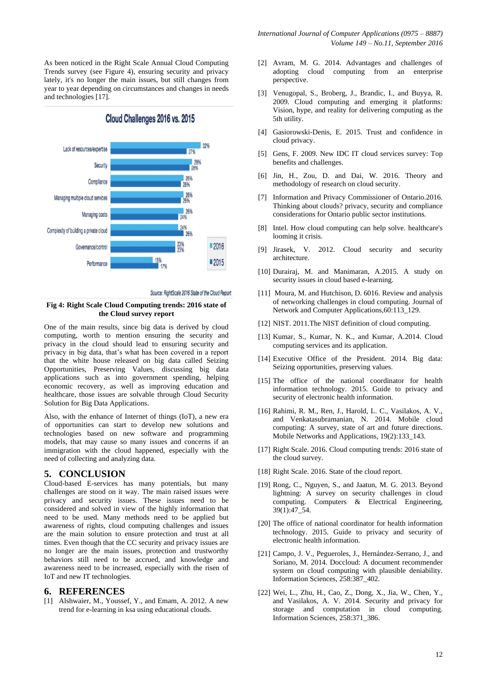As been noticed in the Right Scale Annual Cloud Computing Trends survey (see Figure 4), ensuring security and privacy lately, it's no longer the main issues, but still changes from year to year depending on circumstances and changes in needs and technologies [17].



Cloud Challenges 2016 vs. 2015

#### **Fig 4: Right Scale Cloud Computing trends: 2016 state of the Cloud survey report**

One of the main results, since big data is derived by cloud computing, worth to mention ensuring the security and privacy in the cloud should lead to ensuring security and privacy in big data, that's what has been covered in a report that the white house released on big data called Seizing Opportunities, Preserving Values, discussing big data applications such as into government spending, helping economic recovery, as well as improving education and healthcare, those issues are solvable through Cloud Security Solution for Big Data Applications.

Also, with the enhance of Internet of things (IoT), a new era of opportunities can start to develop new solutions and technologies based on new software and programming models, that may cause so many issues and concerns if an immigration with the cloud happened, especially with the need of collecting and analyzing data.

#### **5. CONCLUSION**

Cloud-based E-services has many potentials, but many challenges are stood on it way. The main raised issues were privacy and security issues. These issues need to be considered and solved in view of the highly information that need to be used. Many methods need to be applied but awareness of rights, cloud computing challenges and issues are the main solution to ensure protection and trust at all times. Even though that the CC security and privacy issues are no longer are the main issues, protection and trustworthy behaviors still need to be accrued, and knowledge and awareness need to be increased, especially with the risen of IoT and new IT technologies.

#### **6. REFERENCES**

[1] Alshwaier, M., Youssef, Y., and Emam, A. 2012. A new trend for e-learning in ksa using educational clouds.

- [2] Avram, M. G. 2014. Advantages and challenges of adopting cloud computing from an enterprise perspective.
- [3] Venugopal, S., Broberg, J., Brandic, I., and Buyya, R. 2009. Cloud computing and emerging it platforms: Vision, hype, and reality for delivering computing as the 5th utility.
- [4] Gasiorowski-Denis, E. 2015. Trust and confidence in cloud privacy.
- [5] Gens, F. 2009. New IDC IT cloud services survey: Top benefits and challenges.
- [6] Jin, H., Zou, D. and Dai, W. 2016. Theory and methodology of research on cloud security.
- [7] Information and Privacy Commissioner of Ontario.2016. Thinking about clouds? privacy, security and compliance considerations for Ontario public sector institutions.
- [8] Intel. How cloud computing can help solve. healthcare's looming it crisis.
- [9] Jirasek, V. 2012. Cloud security and security architecture.
- [10] Durairaj, M. and Manimaran, A.2015. A study on security issues in cloud based e-learning.
- [11] Moura, M. and Hutchison, D. 6016. Review and analysis of networking challenges in cloud computing. Journal of Network and Computer Applications,60:113\_129.
- [12] NIST. 2011. The NIST definition of cloud computing.
- [13] Kumar, S., Kumar, N. K., and Kumar, A.2014. Cloud computing services and its application.
- [14] Executive Office of the President. 2014. Big data: Seizing opportunities, preserving values.
- [15] The office of the national coordinator for health information technology. 2015. Guide to privacy and security of electronic health information.
- [16] Rahimi, R. M., Ren, J., Harold, L. C., Vasilakos, A. V., and Venkatasubramanian, N. 2014. Mobile cloud computing: A survey, state of art and future directions. Mobile Networks and Applications, 19(2):133\_143.
- [17] Right Scale. 2016. Cloud computing trends: 2016 state of the cloud survey.
- [18] Right Scale. 2016. State of the cloud report.
- [19] Rong, C., Nguyen, S., and Jaatun, M. G. 2013. Beyond lightning: A survey on security challenges in cloud computing. Computers & Electrical Engineering, 39(1):47\_54.
- [20] The office of national coordinator for health information technology. 2015. Guide to privacy and security of electronic health information.
- [21] Campo, J. V., Pegueroles, J., Hernández-Serrano, J., and Soriano, M. 2014. Doccloud: A document recommender system on cloud computing with plausible deniability. Information Sciences, 258:387\_402.
- [22] Wei, L., Zhu, H., Cao, Z., Dong, X., Jia, W., Chen, Y., and Vasilakos, A. V. 2014. Security and privacy for storage and computation in cloud computing. Information Sciences, 258:371\_386.

Source: RightScale 2016 State of the Cloud Report